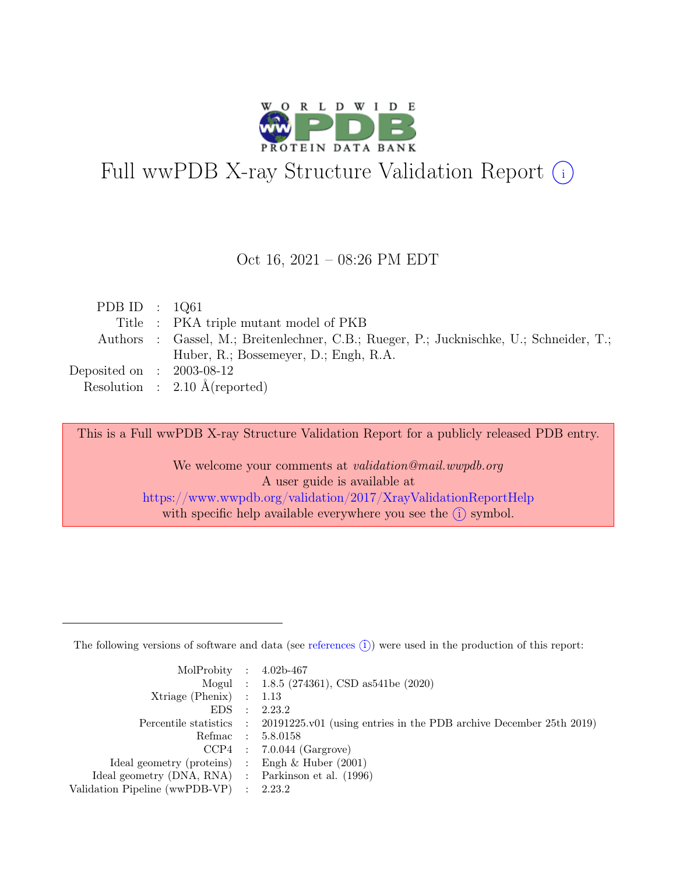

# Full wwPDB X-ray Structure Validation Report  $(i)$

#### Oct 16, 2021 – 08:26 PM EDT

| PDB ID : $1Q61$             |                                                                                         |
|-----------------------------|-----------------------------------------------------------------------------------------|
|                             | Title : PKA triple mutant model of PKB                                                  |
|                             | Authors : Gassel, M.; Breitenlechner, C.B.; Rueger, P.; Jucknischke, U.; Schneider, T.; |
|                             | Huber, R.; Bossemeyer, D.; Engh, R.A.                                                   |
| Deposited on : $2003-08-12$ |                                                                                         |
|                             | Resolution : $2.10 \text{ Å}$ (reported)                                                |

This is a Full wwPDB X-ray Structure Validation Report for a publicly released PDB entry.

We welcome your comments at *validation@mail.wwpdb.org* A user guide is available at <https://www.wwpdb.org/validation/2017/XrayValidationReportHelp> with specific help available everywhere you see the  $(i)$  symbol.

The following versions of software and data (see [references](https://www.wwpdb.org/validation/2017/XrayValidationReportHelp#references)  $(i)$ ) were used in the production of this report:

| MolProbity : $4.02b-467$                            |           |                                                                                            |
|-----------------------------------------------------|-----------|--------------------------------------------------------------------------------------------|
|                                                     |           | Mogul : 1.8.5 (274361), CSD as 541be (2020)                                                |
| $Xtriangle (Phenix)$ : 1.13                         |           |                                                                                            |
| EDS                                                 | $\cdot$ : | 2.23.2                                                                                     |
|                                                     |           | Percentile statistics : 20191225.v01 (using entries in the PDB archive December 25th 2019) |
| Refmac : 5.8.0158                                   |           |                                                                                            |
|                                                     |           | $CCP4$ : 7.0.044 (Gargrove)                                                                |
| Ideal geometry (proteins) : Engh $\&$ Huber (2001)  |           |                                                                                            |
| Ideal geometry (DNA, RNA) : Parkinson et al. (1996) |           |                                                                                            |
| Validation Pipeline (wwPDB-VP) : 2.23.2             |           |                                                                                            |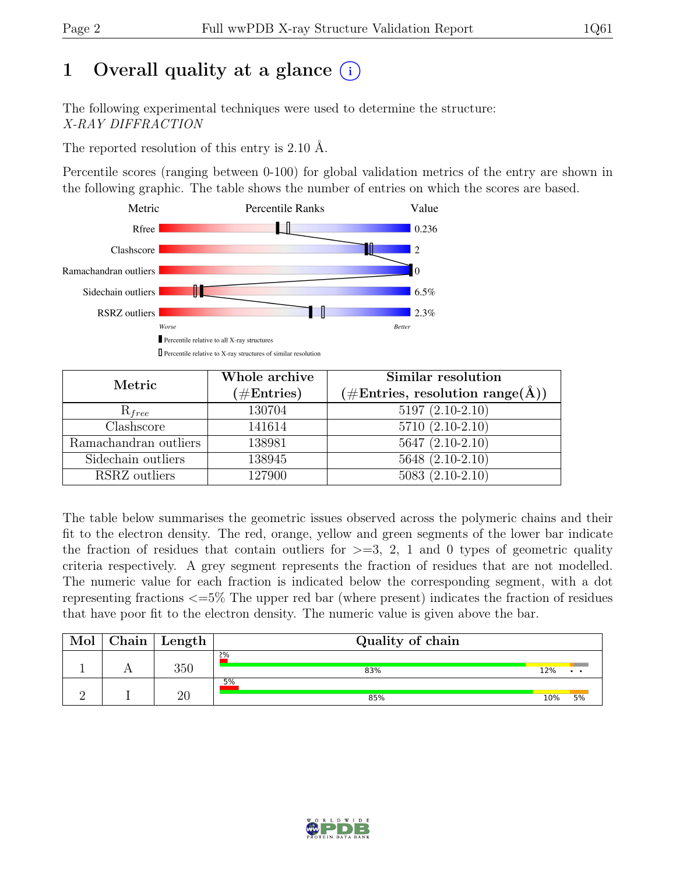# 1 Overall quality at a glance  $(i)$

The following experimental techniques were used to determine the structure: X-RAY DIFFRACTION

The reported resolution of this entry is 2.10 Å.

Percentile scores (ranging between 0-100) for global validation metrics of the entry are shown in the following graphic. The table shows the number of entries on which the scores are based.



| Metric                | Whole archive<br>$(\#Entries)$ | Similar resolution<br>$(\# \text{Entries}, \text{resolution range}(\AA))$ |
|-----------------------|--------------------------------|---------------------------------------------------------------------------|
| $R_{free}$            | 130704                         | $5197(2.10-2.10)$                                                         |
| Clashscore            | 141614                         | $5710(2.10-2.10)$                                                         |
| Ramachandran outliers | 138981                         | $\overline{5647}$ $(2.10-2.10)$                                           |
| Sidechain outliers    | 138945                         | $5648(2.10-2.10)$                                                         |
| RSRZ outliers         | 127900                         | $5083(2.10-2.10)$                                                         |

The table below summarises the geometric issues observed across the polymeric chains and their fit to the electron density. The red, orange, yellow and green segments of the lower bar indicate the fraction of residues that contain outliers for  $\geq$ =3, 2, 1 and 0 types of geometric quality criteria respectively. A grey segment represents the fraction of residues that are not modelled. The numeric value for each fraction is indicated below the corresponding segment, with a dot representing fractions <=5% The upper red bar (where present) indicates the fraction of residues that have poor fit to the electron density. The numeric value is given above the bar.

| Mol | ${\rm Chain}$ | $\mathbf{Length}$ | Quality of chain |     |       |
|-----|---------------|-------------------|------------------|-----|-------|
|     |               | 350               | 2%<br>83%        | 12% | . .   |
|     |               | 20                | 5%<br>85%        | 10% | $5\%$ |

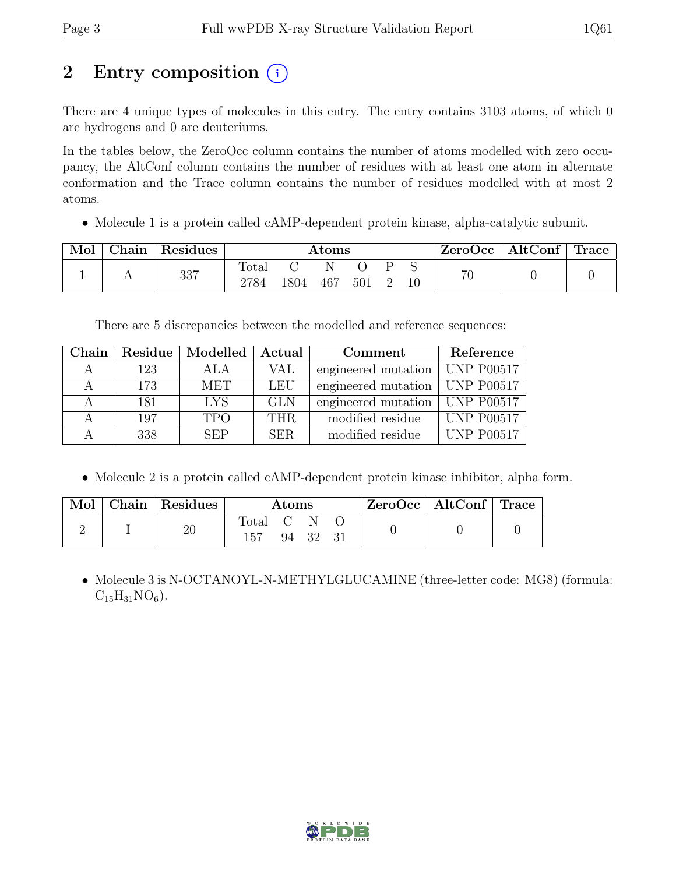# 2 Entry composition (i)

There are 4 unique types of molecules in this entry. The entry contains 3103 atoms, of which 0 are hydrogens and 0 are deuteriums.

In the tables below, the ZeroOcc column contains the number of atoms modelled with zero occupancy, the AltConf column contains the number of residues with at least one atom in alternate conformation and the Trace column contains the number of residues modelled with at most 2 atoms.

• Molecule 1 is a protein called cAMP-dependent protein kinase, alpha-catalytic subunit.

| Mol | ${\rm Chain}$ $\,$ | Residues | $\rm{Atoms}$  |      |     |     |  | $\text{ZeroOcc}$   AltConf   Trace |    |  |
|-----|--------------------|----------|---------------|------|-----|-----|--|------------------------------------|----|--|
|     |                    | 337      | Total<br>2784 | 1804 | 467 | 501 |  | $10\,$                             | 70 |  |

There are 5 discrepancies between the modelled and reference sequences:

| Chain     |     | Residue   Modelled | Actual                                         | Comment                          | Reference                  |
|-----------|-----|--------------------|------------------------------------------------|----------------------------------|----------------------------|
| $\forall$ | 123 | ALA                | engineered mutation   UNP P00517<br><b>VAL</b> |                                  |                            |
| А         | 173 | <b>MET</b>         | engineered mutation   UNP P00517<br>LEU        |                                  |                            |
|           | 181 | <b>LYS</b>         | <b>GLN</b>                                     | engineered mutation   UNP P00517 |                            |
|           | 197 | <b>TPO</b>         | THR.                                           | modified residue                 | $\sqrt{\text{UNP}}$ P00517 |
|           | 338 | <b>SEP</b>         | SER.                                           | modified residue                 | <b>UNP P00517</b>          |

• Molecule 2 is a protein called cAMP-dependent protein kinase inhibitor, alpha form.

| Mol | Chain   Residues | Atoms |       |  |  | $ZeroOcc \mid AltConf \mid Trace$ |  |
|-----|------------------|-------|-------|--|--|-----------------------------------|--|
|     | $20\,$           | Total | 94 32 |  |  |                                   |  |

• Molecule 3 is N-OCTANOYL-N-METHYLGLUCAMINE (three-letter code: MG8) (formula:  $C_{15}H_{31}NO_6$ .

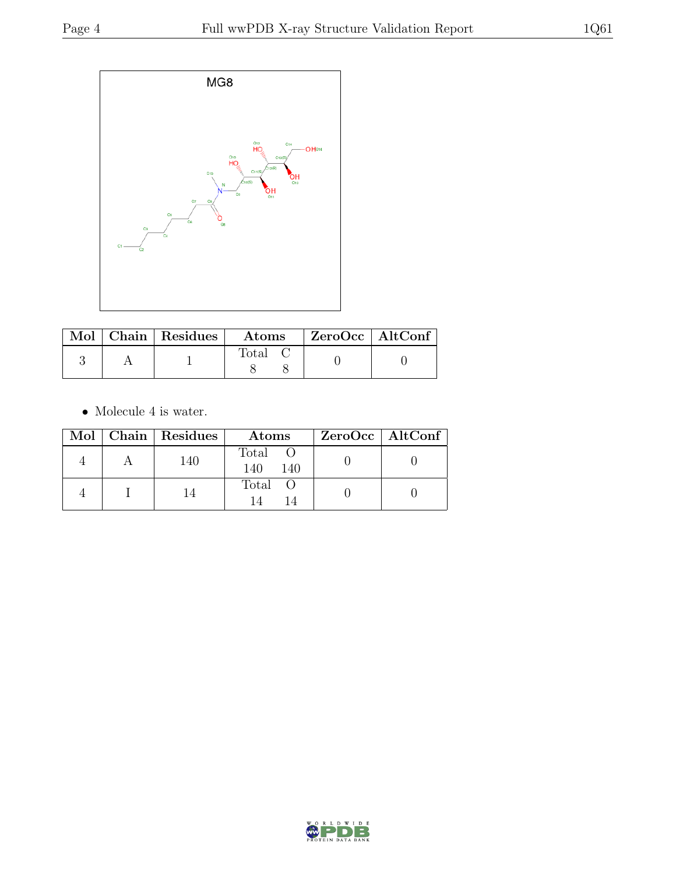

|  | $\sqrt{\text{Mol}}$   Chain   Residues | $\boldsymbol{\mathrm{Atoms}}$ |  | ZeroOcc   AltConf |  |
|--|----------------------------------------|-------------------------------|--|-------------------|--|
|  |                                        | $\rm Total$                   |  |                   |  |

 $\bullet\,$  Molecule 4 is water.

|  | Mol   Chain   Residues | Atoms                 | $ZeroOcc \   \$ AltConf |
|--|------------------------|-----------------------|-------------------------|
|  | 140                    | Total O<br>140<br>140 |                         |
|  |                        | Total O               |                         |

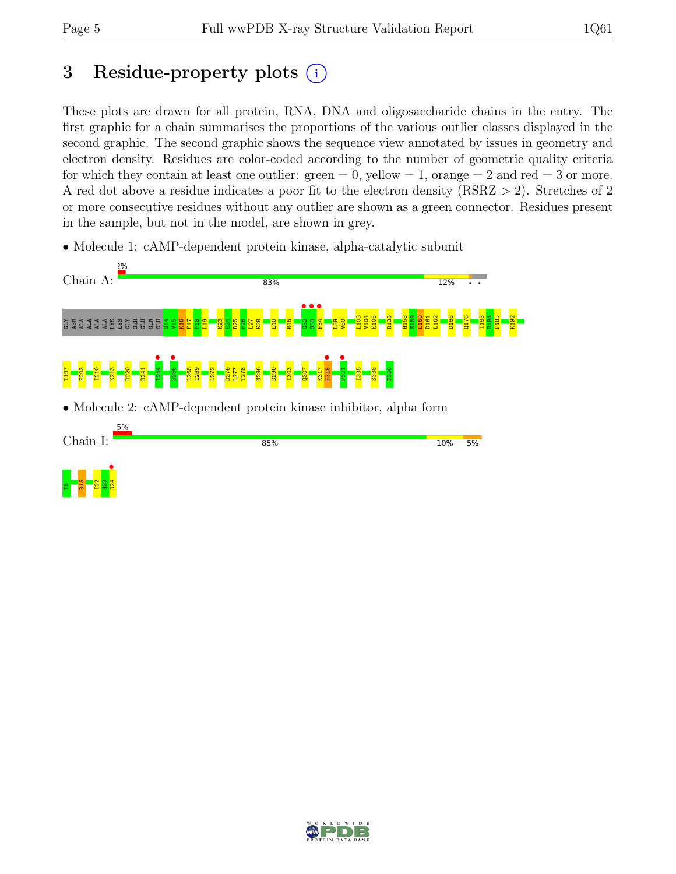# 3 Residue-property plots  $(i)$

These plots are drawn for all protein, RNA, DNA and oligosaccharide chains in the entry. The first graphic for a chain summarises the proportions of the various outlier classes displayed in the second graphic. The second graphic shows the sequence view annotated by issues in geometry and electron density. Residues are color-coded according to the number of geometric quality criteria for which they contain at least one outlier:  $green = 0$ , yellow  $= 1$ , orange  $= 2$  and red  $= 3$  or more. A red dot above a residue indicates a poor fit to the electron density (RSRZ > 2). Stretches of 2 or more consecutive residues without any outlier are shown as a green connector. Residues present in the sample, but not in the model, are shown in grey.

• Molecule 1: cAMP-dependent protein kinase, alpha-catalytic subunit



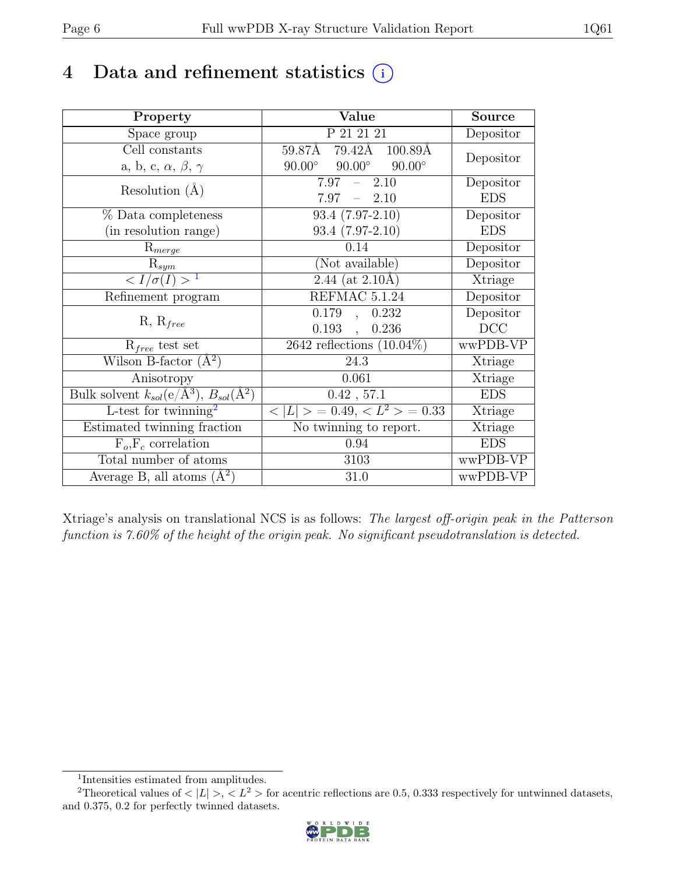# 4 Data and refinement statistics  $(i)$

| Property                                                         | Value                                           | Source                       |
|------------------------------------------------------------------|-------------------------------------------------|------------------------------|
| Space group                                                      | P 21 21 21                                      | Depositor                    |
| Cell constants                                                   | 59.87Å 79.42Å 100.89Å                           | Depositor                    |
| a, b, c, $\alpha$ , $\beta$ , $\gamma$                           | $90.00^\circ$<br>$90.00^\circ$<br>$90.00^\circ$ |                              |
| Resolution $(A)$                                                 | $7.97 - 2.10$                                   | Depositor                    |
|                                                                  | $7.97 - 2.10$                                   | <b>EDS</b>                   |
| % Data completeness                                              | $93.4(7.97-2.10)$                               | Depositor                    |
| (in resolution range)                                            | $93.4(7.97-2.10)$                               | <b>EDS</b>                   |
| $R_{merge}$                                                      | 0.14                                            | Depositor                    |
| $\mathrm{R}_{sym}$                                               | (Not available)                                 | Depositor                    |
| $\langle I/\sigma(I) \rangle$ <sup>1</sup>                       | $2.44$ (at 2.10Å)                               | Xtriage                      |
| Refinement program                                               | REFMAC 5.1.24                                   | Depositor                    |
|                                                                  | 0.179<br>0.232<br>$\ddot{\phantom{a}}$          | Depositor                    |
| $R, R_{free}$                                                    | $0.193$ .<br>0.236                              | DCC                          |
| $R_{free}$ test set                                              | 2642 reflections $(10.04\%)$                    | wwPDB-VP                     |
| Wilson B-factor $(A^2)$                                          | 24.3                                            | Xtriage                      |
| Anisotropy                                                       | 0.061                                           | Xtriage                      |
| Bulk solvent $k_{sol}(\text{e}/\text{A}^3), B_{sol}(\text{A}^2)$ | $0.42$ , 57.1                                   | <b>EDS</b>                   |
| L-test for twinning <sup>2</sup>                                 | $< L >$ = 0.49, $< L^2 >$ = 0.33                | <b>Xtriage</b>               |
| Estimated twinning fraction                                      | No twinning to report.                          | $\overline{\text{X}}$ triage |
| $F_o, F_c$ correlation                                           | 0.94                                            | <b>EDS</b>                   |
| Total number of atoms                                            | 3103                                            | wwPDB-VP                     |
| Average B, all atoms $(A^2)$                                     | 31.0                                            | wwPDB-VP                     |

Xtriage's analysis on translational NCS is as follows: The largest off-origin peak in the Patterson function is 7.60% of the height of the origin peak. No significant pseudotranslation is detected.

<sup>&</sup>lt;sup>2</sup>Theoretical values of  $\langle |L| \rangle$ ,  $\langle L^2 \rangle$  for acentric reflections are 0.5, 0.333 respectively for untwinned datasets, and 0.375, 0.2 for perfectly twinned datasets.



<span id="page-5-1"></span><span id="page-5-0"></span><sup>1</sup> Intensities estimated from amplitudes.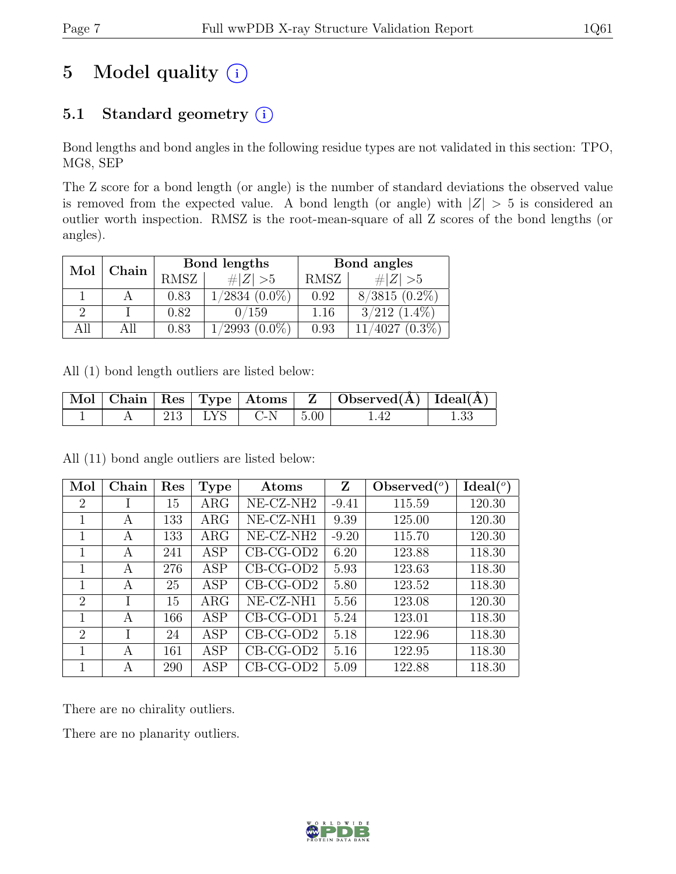# 5 Model quality  $(i)$

## 5.1 Standard geometry  $(i)$

Bond lengths and bond angles in the following residue types are not validated in this section: TPO, MG8, SEP

The Z score for a bond length (or angle) is the number of standard deviations the observed value is removed from the expected value. A bond length (or angle) with  $|Z| > 5$  is considered an outlier worth inspection. RMSZ is the root-mean-square of all Z scores of the bond lengths (or angles).

| Mol  | Chain |      | Bond lengths       | Bond angles |                   |  |
|------|-------|------|--------------------|-------------|-------------------|--|
|      |       | RMSZ | $\# Z  > 5$        | RMSZ        | # $ Z  > 5$       |  |
|      |       | 0.83 | $/2834(0.0\%)$     | 0.92        | $8/3815(0.2\%)$   |  |
|      |       | 0.82 | 0/159              | 1.16        | $3/212$ $(1.4\%)$ |  |
| A 11 |       | 0.83 | $(0.0\%)$<br>/2993 | 0.93        | $(0.3\%)$<br>4027 |  |

All (1) bond length outliers are listed below:

|  |  |                        | Mol   Chain   Res   Type   Atoms   Z   Observed(A)   Ideal(A) |  |
|--|--|------------------------|---------------------------------------------------------------|--|
|  |  | 213   LYS   C-N   5.00 | 1.42                                                          |  |

All (11) bond angle outliers are listed below:

| Mol            | Chain | Res | <b>Type</b> | Atoms                 | Z       | Observed $(°)$ | Ideal(°) |
|----------------|-------|-----|-------------|-----------------------|---------|----------------|----------|
| $\overline{2}$ |       | 15  | $\rm{ARG}$  | NE-CZ-NH <sub>2</sub> | $-9.41$ | 115.59         | 120.30   |
| 1              | A     | 133 | $\rm{ARG}$  | NE-CZ-NH1             | 9.39    | 125.00         | 120.30   |
| 1              | A     | 133 | $\rm{ARG}$  | NE-CZ-NH <sub>2</sub> | $-9.20$ | 115.70         | 120.30   |
| 1              | A     | 241 | ASP         | $CB-CG-OD2$           | 6.20    | 123.88         | 118.30   |
| 1              | A     | 276 | ASP         | $CB-CG-OD2$           | 5.93    | 123.63         | 118.30   |
| 1              | A     | 25  | <b>ASP</b>  | $CB-CG-OD2$           | 5.80    | 123.52         | 118.30   |
| $\overline{2}$ |       | 15  | $\rm{ARG}$  | NE-CZ-NH1             | 5.56    | 123.08         | 120.30   |
| 1              | А     | 166 | <b>ASP</b>  | $CB-CG-OD1$           | 5.24    | 123.01         | 118.30   |
| $\overline{2}$ |       | 24  | ASP         | $CB-CG-OD2$           | 5.18    | 122.96         | 118.30   |
| 1              | А     | 161 | <b>ASP</b>  | $CB-CG-OD2$           | 5.16    | 122.95         | 118.30   |
|                | А     | 290 | ASP         | $CB-CG-OD2$           | 5.09    | 122.88         | 118.30   |

There are no chirality outliers.

There are no planarity outliers.

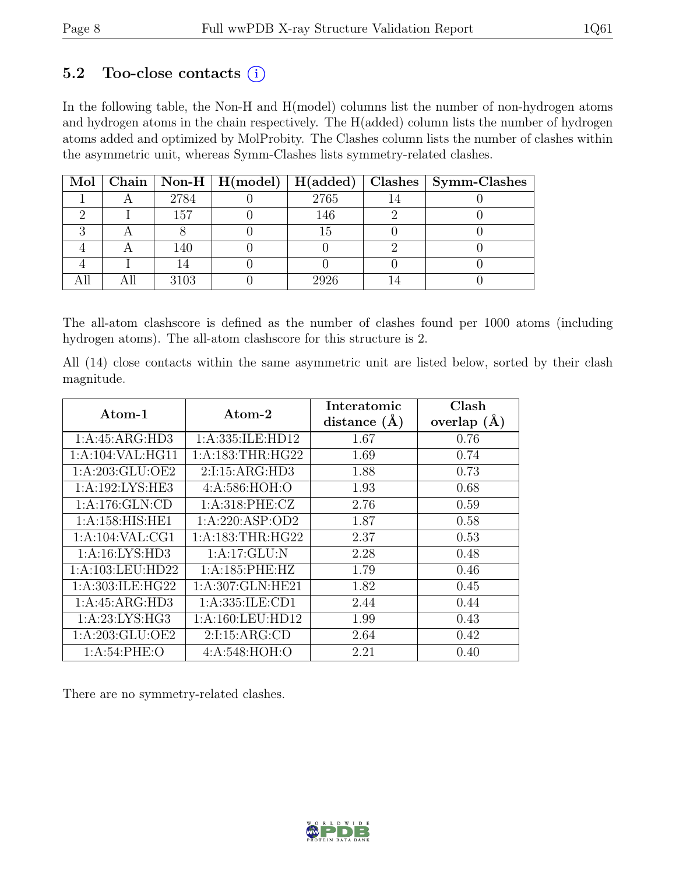### 5.2 Too-close contacts  $(i)$

In the following table, the Non-H and H(model) columns list the number of non-hydrogen atoms and hydrogen atoms in the chain respectively. The H(added) column lists the number of hydrogen atoms added and optimized by MolProbity. The Clashes column lists the number of clashes within the asymmetric unit, whereas Symm-Clashes lists symmetry-related clashes.

|  |      | Mol   Chain   Non-H   H(model)   H(added) |      | Clashes   Symm-Clashes |
|--|------|-------------------------------------------|------|------------------------|
|  | 2784 |                                           | 2765 |                        |
|  | 157  |                                           | 146  |                        |
|  |      |                                           | 15   |                        |
|  | 140  |                                           |      |                        |
|  |      |                                           |      |                        |
|  | 3103 |                                           | 2926 |                        |

The all-atom clashscore is defined as the number of clashes found per 1000 atoms (including hydrogen atoms). The all-atom clashscore for this structure is 2.

All (14) close contacts within the same asymmetric unit are listed below, sorted by their clash magnitude.

| $\rm{Atom}\text{-}1$ | $\rm{Atom}\text{-}2$ | Interatomic    | Clash           |
|----------------------|----------------------|----------------|-----------------|
|                      |                      | distance $(A)$ | overlap $(\AA)$ |
| 1:A:45:ARG:HD3       | 1:A:335:ILE:HD12     | 1.67           | 0.76            |
| 1:A:104:VAL:HG11     | 1: A: 183: THR: HG22 | 1.69           | 0.74            |
| 1:A:203:GLU:OE2      | 2:1:15:ARG:HD3       | 1.88           | 0.73            |
| 1:A:192:LYS:HE3      | 4:A:586:HOH:O        | 1.93           | 0.68            |
| 1:A:176:GLN:CD       | 1: A:318: PHE: CZ    | 2.76           | 0.59            |
| 1: A:158: HIS: HE1   | 1: A:220: ASP:OD2    | 1.87           | 0.58            |
| 1: A: 104: VAL: CG1  | 1: A: 183: THR: HG22 | 2.37           | 0.53            |
| 1: A:16: LYS: HD3    | 1:A:17:GLU:N         | 2.28           | 0.48            |
| 1:A:103:LEU:HD22     | 1: A:185: PHE:HZ     | 1.79           | 0.46            |
| 1:A:303:ILE:HG22     | 1:A:307:GLN:HE21     | 1.82           | 0.45            |
| 1:A:45:ARG:HD3       | 1: A: 335: ILE: CD1  | 2.44           | 0.44            |
| 1:A:23:LYS:HG3       | 1:A:160:LEU:HD12     | 1.99           | 0.43            |
| 1: A:203: GLU:OE2    | 2:1:15:ARG:CD        | 2.64           | 0.42            |
| 1: A:54:PHE:O        | 4: A:548: HOH:O      | 2.21           | 0.40            |

There are no symmetry-related clashes.

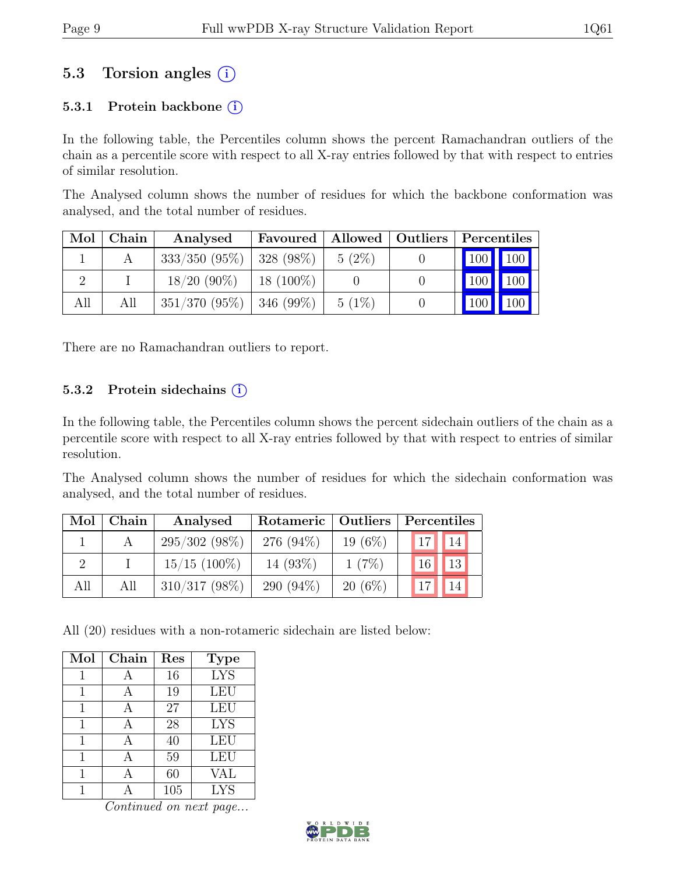## 5.3 Torsion angles (i)

#### 5.3.1 Protein backbone  $(i)$

In the following table, the Percentiles column shows the percent Ramachandran outliers of the chain as a percentile score with respect to all X-ray entries followed by that with respect to entries of similar resolution.

The Analysed column shows the number of residues for which the backbone conformation was analysed, and the total number of residues.

| Mol | Chain | Analysed        | Favoured      |          | Allowed   Outliers | Percentiles |
|-----|-------|-----------------|---------------|----------|--------------------|-------------|
|     |       | $333/350(95\%)$ | $ 328(98\%)$  | $5(2\%)$ |                    | $100$ 100   |
|     |       | $18/20(90\%)$   | $18(100\%)$   |          |                    | 100<br>100  |
| All | All   | $351/370(95\%)$ | $ 346 (99\%)$ | $5(1\%)$ |                    | 100<br>100  |

There are no Ramachandran outliers to report.

#### 5.3.2 Protein sidechains  $(i)$

In the following table, the Percentiles column shows the percent sidechain outliers of the chain as a percentile score with respect to all X-ray entries followed by that with respect to entries of similar resolution.

The Analysed column shows the number of residues for which the sidechain conformation was analysed, and the total number of residues.

| Mol | Chain | Analysed        | Rotameric   Outliers |            | Percentiles           |
|-----|-------|-----------------|----------------------|------------|-----------------------|
|     |       | $295/302(98\%)$ | 276 $(94\%)$         | 19 $(6\%)$ | 14 <br>17             |
|     |       | $15/15$ (100%)  | $14(93\%)$           | $1(7\%)$   | 13<br>16 <sup>1</sup> |
| All | All   | $310/317(98\%)$ | 290 $(94\%)$         | $20(6\%)$  | 14                    |

All (20) residues with a non-rotameric sidechain are listed below:

| Mol | Chain | Res | <b>Type</b> |
|-----|-------|-----|-------------|
| 1   |       | 16  | <b>LYS</b>  |
|     |       | 19  | LEU         |
| 1   |       | 27  | <b>LEU</b>  |
| 1   |       | 28  | <b>LYS</b>  |
| 1   |       | 40  | <b>LEU</b>  |
|     |       | 59  | <b>LEU</b>  |
|     |       | 60  | VAL         |
|     |       | 105 | <b>LYS</b>  |

Continued on next page...

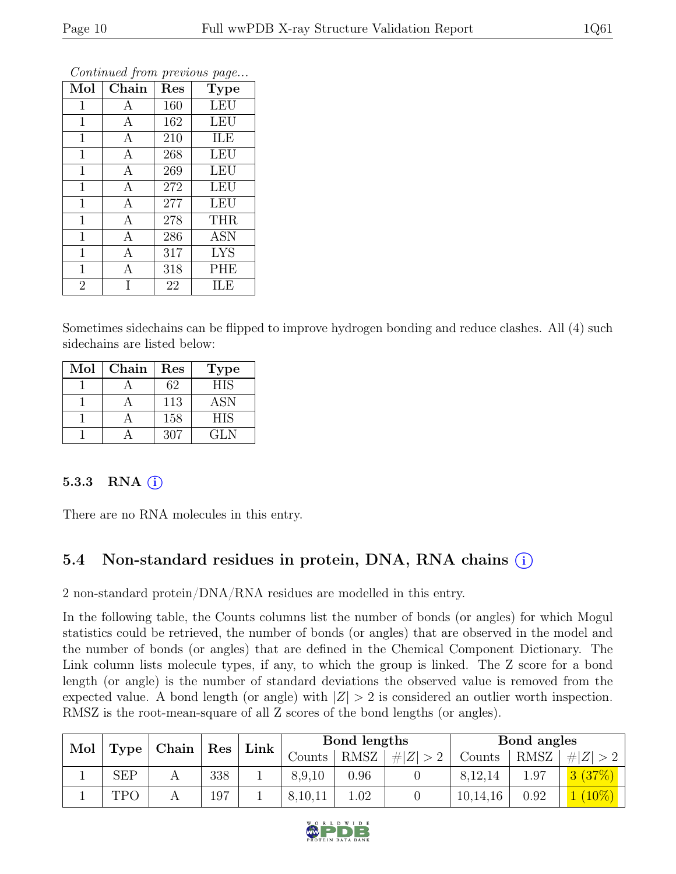| Mol            | Chain        | Res | <b>Type</b> |
|----------------|--------------|-----|-------------|
| 1              | А            | 160 | <b>LEU</b>  |
| $\mathbf 1$    | A            | 162 | <b>LEU</b>  |
| $\mathbf 1$    | A            | 210 | ILE         |
| 1              | A            | 268 | <b>LEU</b>  |
| $\mathbf 1$    | $\mathbf{A}$ | 269 | <b>LEU</b>  |
| $\mathbf 1$    | A            | 272 | LEU         |
| $\mathbf{1}$   | $\mathbf{A}$ | 277 | <b>LEU</b>  |
| $\overline{1}$ | A            | 278 | <b>THR</b>  |
| 1              | A            | 286 | <b>ASN</b>  |
| $\mathbf 1$    | $\mathbf{A}$ | 317 | <b>LYS</b>  |
| $\mathbf 1$    | A            | 318 | PHE         |
| $\overline{2}$ |              | 22  | ILE         |

Continued from previous page...

Sometimes sidechains can be flipped to improve hydrogen bonding and reduce clashes. All (4) such sidechains are listed below:

| Mol | Chain | Res | <b>Type</b> |
|-----|-------|-----|-------------|
|     |       | 62  | <b>HIS</b>  |
|     |       | 113 | <b>ASN</b>  |
|     |       | 158 | <b>HIS</b>  |
|     |       | 307 | GL N        |

#### 5.3.3 RNA  $(i)$

There are no RNA molecules in this entry.

## 5.4 Non-standard residues in protein, DNA, RNA chains (i)

2 non-standard protein/DNA/RNA residues are modelled in this entry.

In the following table, the Counts columns list the number of bonds (or angles) for which Mogul statistics could be retrieved, the number of bonds (or angles) that are observed in the model and the number of bonds (or angles) that are defined in the Chemical Component Dictionary. The Link column lists molecule types, if any, to which the group is linked. The Z score for a bond length (or angle) is the number of standard deviations the observed value is removed from the expected value. A bond length (or angle) with  $|Z| > 2$  is considered an outlier worth inspection. RMSZ is the root-mean-square of all Z scores of the bond lengths (or angles).

| Mol |            |                     | $\vert$ Res $\vert$ |  |         |             |             |          |      |        | Link |  | Bond lengths |  |  | Bond angles |  |
|-----|------------|---------------------|---------------------|--|---------|-------------|-------------|----------|------|--------|------|--|--------------|--|--|-------------|--|
|     | Type       | $\mid$ Chain $\mid$ |                     |  | Counts  | <b>RMSZ</b> | # $ Z  > 2$ | Counts   | RMSZ |        |      |  |              |  |  |             |  |
|     | <b>SEP</b> |                     | 338                 |  | 8,9,10  | 0.96        |             | 8,12,14  | -97  |        |      |  |              |  |  |             |  |
|     | TPO        |                     | 197                 |  | 8,10,11 | 1.02        |             | 10,14,16 | 0.92 | $10\%$ |      |  |              |  |  |             |  |

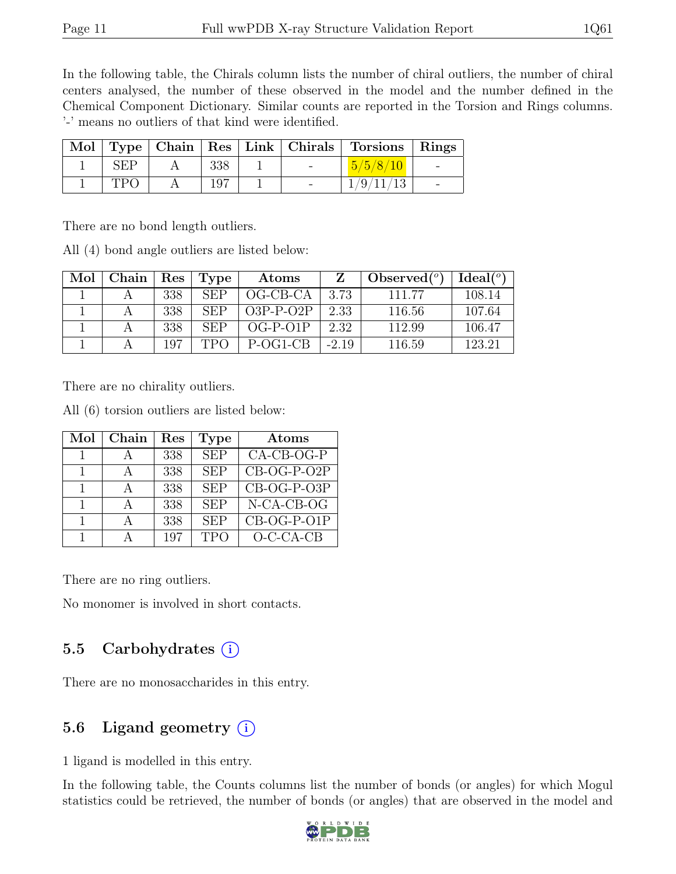In the following table, the Chirals column lists the number of chiral outliers, the number of chiral centers analysed, the number of these observed in the model and the number defined in the Chemical Component Dictionary. Similar counts are reported in the Torsion and Rings columns. '-' means no outliers of that kind were identified.

|     |     |                          | Mol   Type   Chain   Res   Link   Chirals   Torsions   Rings |  |
|-----|-----|--------------------------|--------------------------------------------------------------|--|
|     |     | $\overline{\phantom{0}}$ |                                                              |  |
| TDC | 197 |                          | /9/                                                          |  |

There are no bond length outliers.

All (4) bond angle outliers are listed below:

| Mol | Chain | Res | Type       | Atoms       | Z       | Observed $(°)$ | Ideal <sup>(o)</sup> |
|-----|-------|-----|------------|-------------|---------|----------------|----------------------|
|     |       | 338 | <b>SEP</b> | $OG-CB-CA$  | 3.73    | 111.77         | 108.14               |
|     |       | 338 | <b>SEP</b> | $O3P-P-O2P$ | 2.33    | 116.56         | 107.64               |
|     |       | 338 | <b>SEP</b> | $OG-P-O1P$  | 2.32    | 112.99         | 106.47               |
|     |       | 107 | TPO        | $P-OG1-CR$  | $-2.19$ | 116.59         | 123.21               |

There are no chirality outliers.

All (6) torsion outliers are listed below:

| Mol            | Chain | Res | Type       | Atoms         |
|----------------|-------|-----|------------|---------------|
|                |       | 338 | <b>SEP</b> | $CA-CB-OG-P$  |
|                |       | 338 | <b>SEP</b> | $CB-OG-P-O2P$ |
|                |       | 338 | <b>SEP</b> | CB-OG-P-O3P   |
| $\overline{1}$ |       | 338 | <b>SEP</b> | $N-CA-CB-OG$  |
|                |       | 338 | <b>SEP</b> | CB-OG-P-O1P   |
|                |       | 197 | <b>TPO</b> | $O-C-CA-CB$   |

There are no ring outliers.

No monomer is involved in short contacts.

#### 5.5 Carbohydrates  $(i)$

There are no monosaccharides in this entry.

### 5.6 Ligand geometry  $(i)$

1 ligand is modelled in this entry.

In the following table, the Counts columns list the number of bonds (or angles) for which Mogul statistics could be retrieved, the number of bonds (or angles) that are observed in the model and

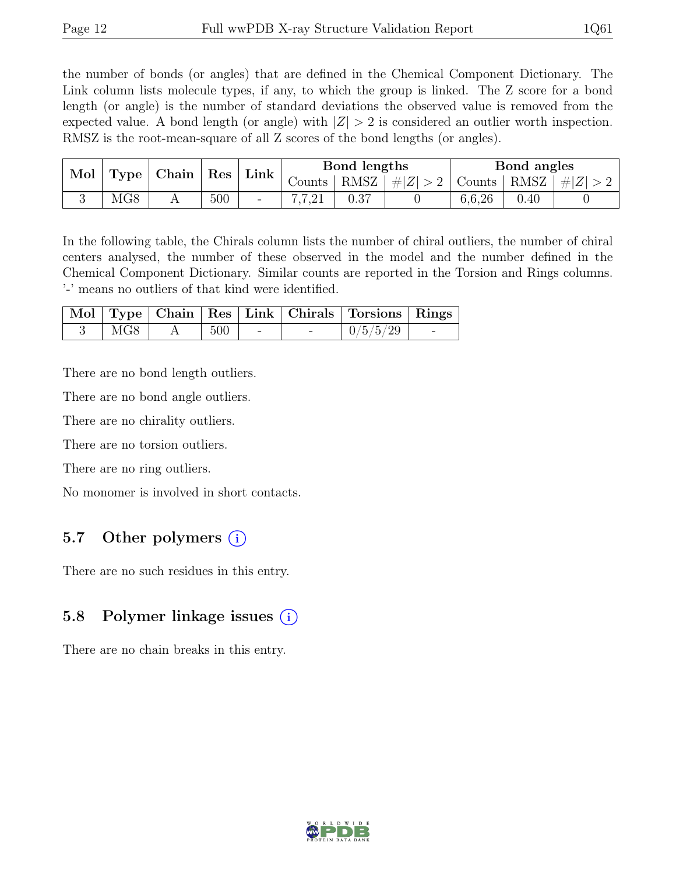the number of bonds (or angles) that are defined in the Chemical Component Dictionary. The Link column lists molecule types, if any, to which the group is linked. The Z score for a bond length (or angle) is the number of standard deviations the observed value is removed from the expected value. A bond length (or angle) with  $|Z| > 2$  is considered an outlier worth inspection. RMSZ is the root-mean-square of all Z scores of the bond lengths (or angles).

| Mol | Type         | Chain | Res | Link                     | Bond lengths   |      |             | Bond angles |      |     |
|-----|--------------|-------|-----|--------------------------|----------------|------|-------------|-------------|------|-----|
|     |              |       |     |                          | Counts         | RMSZ | $\# Z  > 2$ | Counts      | RMSZ | H Z |
|     | $_{\rm MG8}$ |       | 500 | $\overline{\phantom{a}}$ | 7701<br>1.1.41 | 0.37 |             | 6,6,26      | 0.40 |     |

In the following table, the Chirals column lists the number of chiral outliers, the number of chiral centers analysed, the number of these observed in the model and the number defined in the Chemical Component Dictionary. Similar counts are reported in the Torsion and Rings columns. '-' means no outliers of that kind were identified.

|                 |     |        | Mol   Type   Chain   Res   Link   Chirals   Torsions   Rings |            |
|-----------------|-----|--------|--------------------------------------------------------------|------------|
| MG <sub>8</sub> | 500 | $\sim$ | 0/5/5/29                                                     | $\sim$ $-$ |

There are no bond length outliers.

There are no bond angle outliers.

There are no chirality outliers.

There are no torsion outliers.

There are no ring outliers.

No monomer is involved in short contacts.

### 5.7 Other polymers (i)

There are no such residues in this entry.

### 5.8 Polymer linkage issues (i)

There are no chain breaks in this entry.

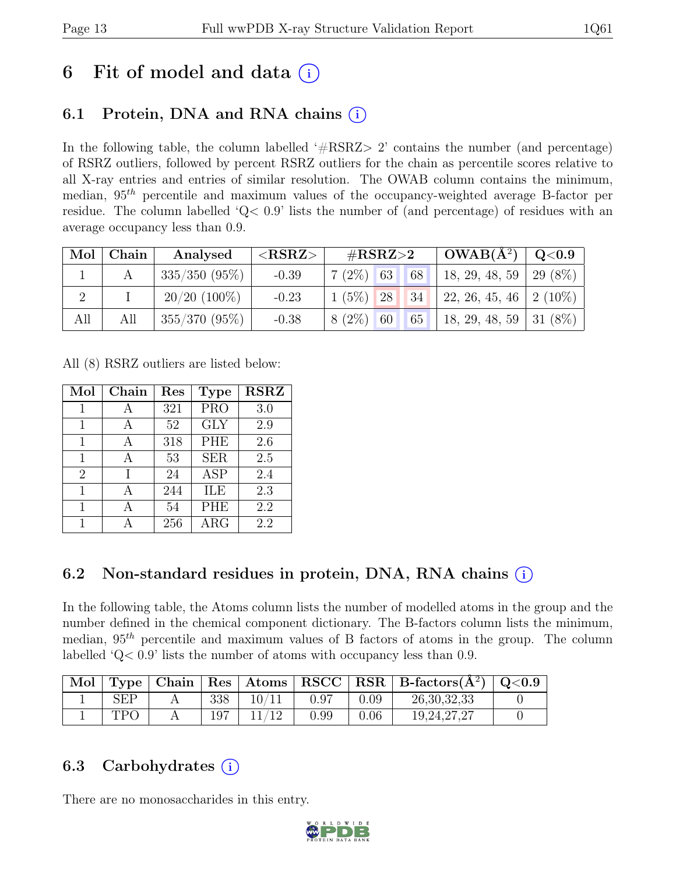# 6 Fit of model and data  $(i)$

## 6.1 Protein, DNA and RNA chains (i)

In the following table, the column labelled  $#RSRZ>2$  contains the number (and percentage) of RSRZ outliers, followed by percent RSRZ outliers for the chain as percentile scores relative to all X-ray entries and entries of similar resolution. The OWAB column contains the minimum, median,  $95<sup>th</sup>$  percentile and maximum values of the occupancy-weighted average B-factor per residue. The column labelled 'Q< 0.9' lists the number of (and percentage) of residues with an average occupancy less than 0.9.

| Mol | Chain | Analysed        | ${ <\hspace{-1.5pt} {\rm RSRZ}\hspace{-1.5pt}>}$ | $\#\text{RSRZ}\!\!>\!\!2$ | $OWAB(A^2)$                     | $\rm Q\textcolor{black}{<}0.9$ |
|-----|-------|-----------------|--------------------------------------------------|---------------------------|---------------------------------|--------------------------------|
|     |       | $335/350(95\%)$ | $-0.39$                                          | 68<br>$7(2\%)$ 63         | 18, 29, 48, 59   29 (8%)        |                                |
|     |       | $20/20$ (100%)  | $-0.23$                                          | $1(5\%)$ 28               | $34$   22, 26, 45, 46   2 (10%) |                                |
| All | All   | $355/370(95\%)$ | $-0.38$                                          | $8(2\%)$ 60<br>65         | 18, 29, 48, 59   31 (8%)        |                                |

All (8) RSRZ outliers are listed below:

| Mol            | Chain | Res | <b>Type</b> | <b>RSRZ</b> |
|----------------|-------|-----|-------------|-------------|
|                |       | 321 | <b>PRO</b>  | 3.0         |
| 1              |       | 52  | <b>GLY</b>  | 2.9         |
| 1              | A     | 318 | <b>PHE</b>  | 2.6         |
| 1              | А     | 53  | <b>SER</b>  | 2.5         |
| $\overline{2}$ |       | 24  | <b>ASP</b>  | 2.4         |
| 1              |       | 244 | ILE         | 2.3         |
| 1              |       | 54  | <b>PHE</b>  | 2.2         |
|                |       | 256 | $\rm{ARG}$  | 2.2         |

## 6.2 Non-standard residues in protein, DNA, RNA chains (i)

In the following table, the Atoms column lists the number of modelled atoms in the group and the number defined in the chemical component dictionary. The B-factors column lists the minimum, median,  $95<sup>th</sup>$  percentile and maximum values of B factors of atoms in the group. The column labelled 'Q< 0.9' lists the number of atoms with occupancy less than 0.9.

| Mol | Type |     |      |      | Chain   Res   Atoms   RSCC   RSR   B-factors $(A^2)$ | $\rm Q\textcolor{black}{<}0.9$ |
|-----|------|-----|------|------|------------------------------------------------------|--------------------------------|
|     | SEP  | 338 | 0.97 | 0.09 | 26, 30, 32, 33                                       |                                |
|     | TD6  |     | 0.99 | 0.06 | 19, 24, 27, 27                                       |                                |

## 6.3 Carbohydrates  $(i)$

There are no monosaccharides in this entry.